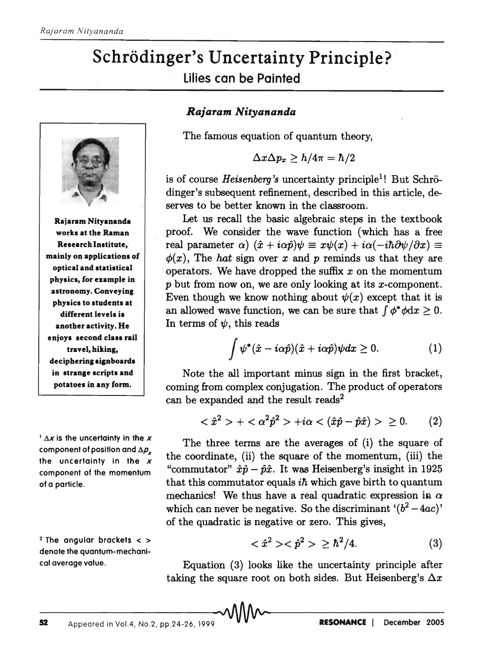## Schrödinger's Uncertainty Principle? lilies can be Painted



Rajaram Nityananda works at the Raman Research Institute,· mainly on applications of optical and statistical physics, for example in astronomy. Conveying physics to students at different levels is another activity. He enjoys second class rail travel, hiking, deciphering signboards in strange scripts and potatoes in any form.

 $\frac{1}{2}$   $\Delta x$  is the uncertainty in the x component of position and  $\Delta \rho_x$ the uncertainty in the *x*  component of the momentum of a particle.

 $2$  The angular brackets  $<$  > denote the quantum-mechanical average value.

## *Rajaram Nityananda*

The famous equation of quantum theory,

$$
\Delta x \Delta p_x \geq h/4\pi = \hbar/2
$$

is of course *Heisenberg's* uncertainty principle<sup>1</sup>! But Schrödinger's subsequent refinement, described in this article, deserves to be better known in the classroom.

Let us recall the basic algebraic steps in the textbook proof. We consider the wave function (which has a free real parameter  $\alpha$ )  $(\hat{x} + i\alpha\hat{p})\psi \equiv x\psi(x) + i\alpha(-i\hbar\partial\psi/\partial x) \equiv$  $\phi(x)$ , The *hat* sign over x and p reminds us that they are operators. We have dropped the suffix *x* on the momentum *p* but from now on, we are only looking at its x-component. Even though we know nothing about  $\psi(x)$  except that it is an allowed wave function, we can be sure that  $\int \phi^* \phi \, dx \geq 0$ . In terms of  $\psi$ , this reads

$$
\int \psi^*(\hat{x} - i\alpha \hat{p})(\hat{x} + i\alpha \hat{p})\psi dx \ge 0.
$$
 (1)

Note the all important minus sign in the first bracket, coming from complex conjugation. The product of operators can be expanded and the result reads<sup>2</sup>

$$
\langle \hat{x}^2 \rangle + \langle \alpha^2 \hat{p}^2 \rangle + i\alpha \langle (\hat{x}\hat{p} - \hat{p}\hat{x}) \rangle \ge 0. \qquad (2)
$$

The three terms are the averages of (i) the square of the coordinate, (ii) the square of the momentum, (iii) the "commutator"  $\hat{x}\hat{p} - \hat{p}\hat{x}$ . It was Heisenberg's insight in 1925 that this commutator equals  $i\hbar$  which gave birth to quantum mechanics! We thus have a real quadratic expression in  $\alpha$ which can never be negative. So the discriminant  $'(b^2 - 4ac)'$ of the quadratic is negative or zero. This gives,

$$
\langle \hat{x}^2 \rangle \langle \hat{p}^2 \rangle \ge \hbar^2/4. \tag{3}
$$

Equation (3) looks like the uncertainty principle after taking the square root on both sides. But Heisenberg's  $\Delta x$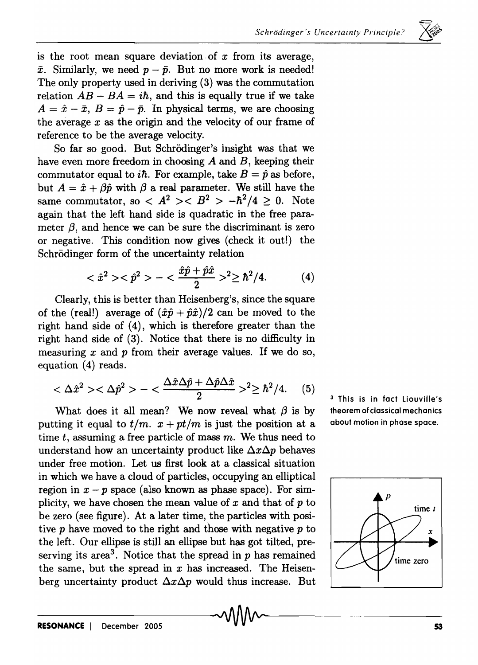$\ominus$  ,

is the root mean square deviation of  $x$  from its average,  $\bar{x}$ . Similarly, we need  $p - \bar{p}$ . But no more work is needed! The only property used in deriving (3) was the commutation relation  $AB - BA = i\hbar$ , and this is equally true if we take  $A = \hat{x} - \bar{x}$ ,  $B = \hat{p} - \bar{p}$ . In physical terms, we are choosing the average *x* as the origin and the velocity of our frame of reference to be the average velocity.

So far so good. But Schrödinger's insight was that we have even more freedom in choosing *A* and *B,* keeping their commutator equal to *ih.* For example, take  $B = \hat{p}$  as before, but  $A = \hat{x} + \beta \hat{y}$  with  $\beta$  a real parameter. We still have the same commutator, so  $\langle A^2 \rangle \langle B^2 \rangle - \hbar^2/4 \geq 0$ . Note again that the left hand side is quadratic in the free parameter  $\beta$ , and hence we can be sure the discriminant is zero or negative. This condition now gives (check it out!) the Schrödinger form of the uncertainty relation

$$
\langle \hat{x}^2 \rangle \langle \hat{p}^2 \rangle - \langle \frac{\hat{x}\hat{p} + \hat{p}\hat{x}}{2} \rangle^2 \ge \hbar^2/4. \tag{4}
$$

Clearly, this is better than Heisenberg's, since the square of the (real!) average of  $(\hat{x}\hat{p} + \hat{p}\hat{x})/2$  can be moved to the right hand side of (4), which is therefore greater than the right hand side of (3). Notice that there is no difficulty in measuring *x* and p from their average values. If we do so, equation (4) reads.

$$
<\Delta \hat{x}^2><\Delta \hat{p}^2> - <\frac{\Delta \hat{x} \Delta \hat{p} + \Delta \hat{p} \Delta \hat{x}}{2} >^2 \geq \hbar^2 / 4. \tag{5}
$$

What does it all mean? We now reveal what  $\beta$  is by putting it equal to  $t/m$ .  $x + pt/m$  is just the position at a time t, assuming a free particle of mass  $m$ . We thus need to understand how an uncertainty product like  $\Delta x \Delta p$  behaves under free motion. Let us first look at a classical situation in which we have a cloud of particles, occupying an elliptical region in  $x - p$  space (also known as phase space). For simplicity, we have chosen the mean value of *x* and that of p to be zero (see figure). At a later time, the particles with positive *p* have moved to the right and those with negative *p* to the left. Our ellipse is still an ellipse but has got tilted, preserving its area<sup>3</sup>. Notice that the spread in  $p$  has remained the same, but the spread in  $x$  has increased. The Heisenberg uncertainty product  $\Delta x \Delta p$  would thus increase. But <sup>3</sup>This is in fact Liouville's theorem of classical mechanics about motion in phase space.